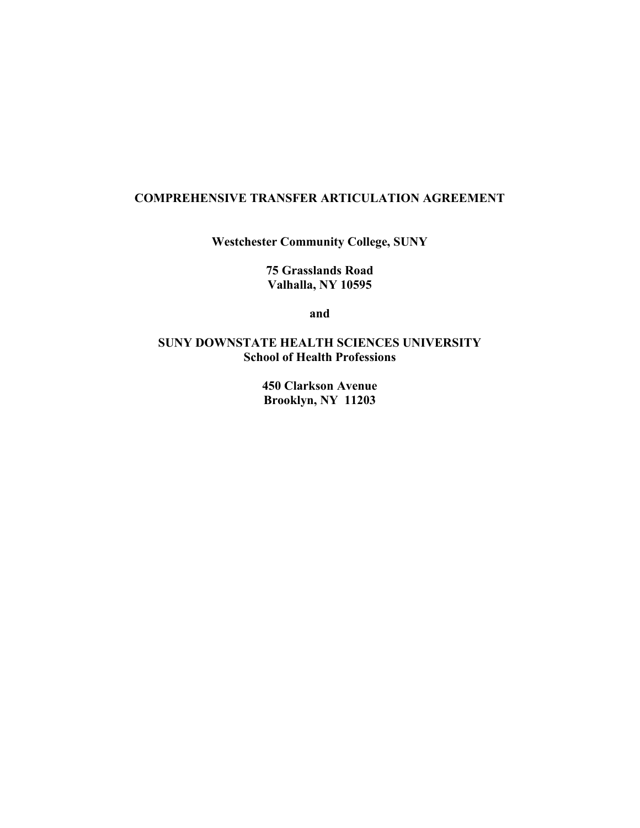# **COMPREHENSIVE TRANSFER ARTICULATION AGREEMENT**

**Westchester Community College, SUNY**

**75 Grasslands Road Valhalla, NY 10595**

**and**

**SUNY DOWNSTATE HEALTH SCIENCES UNIVERSITY School of Health Professions**

> **450 Clarkson Avenue Brooklyn, NY 11203**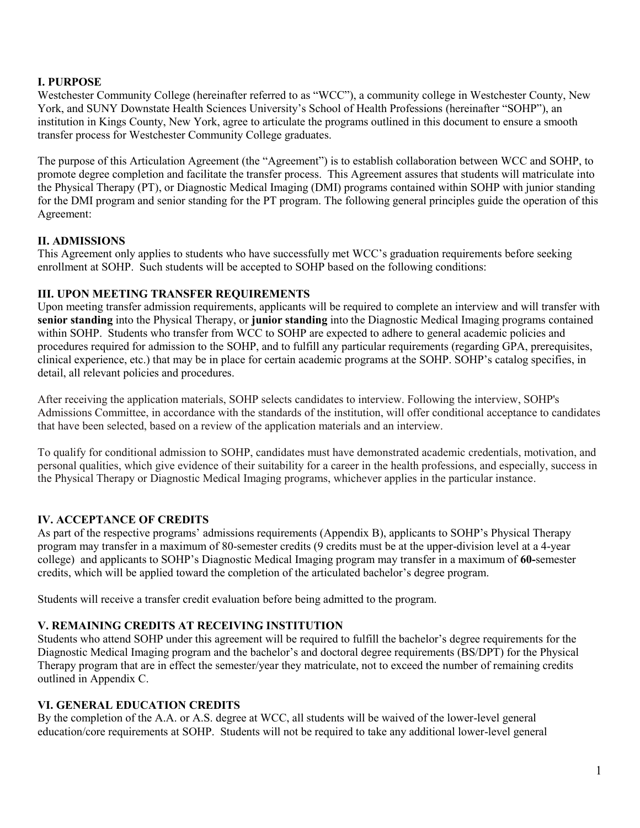#### **I. PURPOSE**

Westchester Community College (hereinafter referred to as "WCC"), a community college in Westchester County, New York, and SUNY Downstate Health Sciences University's School of Health Professions (hereinafter "SOHP"), an institution in Kings County, New York, agree to articulate the programs outlined in this document to ensure a smooth transfer process for Westchester Community College graduates.

The purpose of this Articulation Agreement (the "Agreement") is to establish collaboration between WCC and SOHP, to promote degree completion and facilitate the transfer process. This Agreement assures that students will matriculate into the Physical Therapy (PT), or Diagnostic Medical Imaging (DMI) programs contained within SOHP with junior standing for the DMI program and senior standing for the PT program. The following general principles guide the operation of this Agreement:

### **II. ADMISSIONS**

This Agreement only applies to students who have successfully met WCC's graduation requirements before seeking enrollment at SOHP. Such students will be accepted to SOHP based on the following conditions:

#### **III. UPON MEETING TRANSFER REQUIREMENTS**

Upon meeting transfer admission requirements, applicants will be required to complete an interview and will transfer with **senior standing** into the Physical Therapy, or **junior standing** into the Diagnostic Medical Imaging programs contained within SOHP. Students who transfer from WCC to SOHP are expected to adhere to general academic policies and procedures required for admission to the SOHP, and to fulfill any particular requirements (regarding GPA, prerequisites, clinical experience, etc.) that may be in place for certain academic programs at the SOHP. SOHP's catalog specifies, in detail, all relevant policies and procedures.

After receiving the application materials, SOHP selects candidates to interview. Following the interview, SOHP's Admissions Committee, in accordance with the standards of the institution, will offer conditional acceptance to candidates that have been selected, based on a review of the application materials and an interview.

To qualify for conditional admission to SOHP, candidates must have demonstrated academic credentials, motivation, and personal qualities, which give evidence of their suitability for a career in the health professions, and especially, success in the Physical Therapy or Diagnostic Medical Imaging programs, whichever applies in the particular instance.

# **IV. ACCEPTANCE OF CREDITS**

As part of the respective programs' admissions requirements (Appendix B), applicants to SOHP's Physical Therapy program may transfer in a maximum of 80-semester credits (9 credits must be at the upper-division level at a 4-year college) and applicants to SOHP's Diagnostic Medical Imaging program may transfer in a maximum of **60-**semester credits, which will be applied toward the completion of the articulated bachelor's degree program.

Students will receive a transfer credit evaluation before being admitted to the program.

#### **V. REMAINING CREDITS AT RECEIVING INSTITUTION**

Students who attend SOHP under this agreement will be required to fulfill the bachelor's degree requirements for the Diagnostic Medical Imaging program and the bachelor's and doctoral degree requirements (BS/DPT) for the Physical Therapy program that are in effect the semester/year they matriculate, not to exceed the number of remaining credits outlined in Appendix C.

# **VI. GENERAL EDUCATION CREDITS**

By the completion of the A.A. or A.S. degree at WCC, all students will be waived of the lower-level general education/core requirements at SOHP. Students will not be required to take any additional lower-level general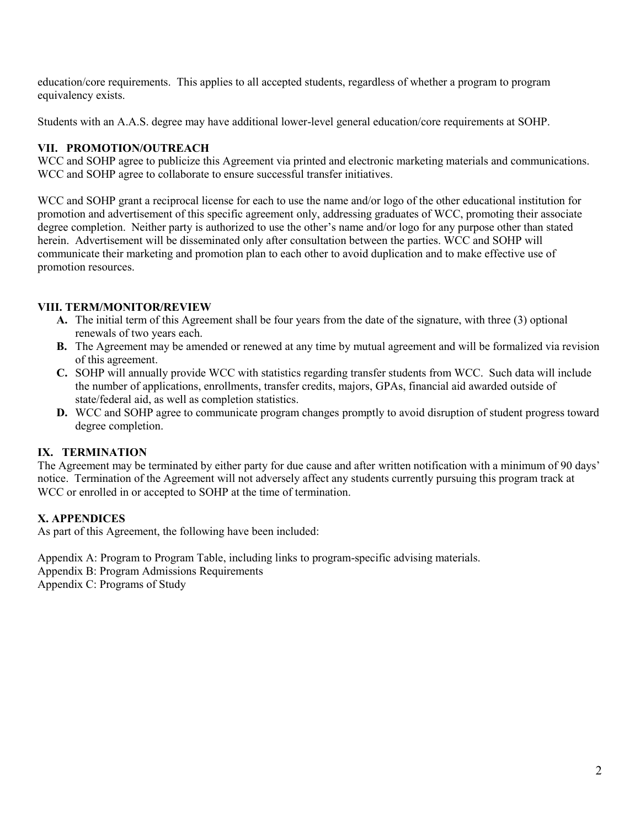education/core requirements. This applies to all accepted students, regardless of whether a program to program equivalency exists.

Students with an A.A.S. degree may have additional lower-level general education/core requirements at SOHP.

### **VII. PROMOTION/OUTREACH**

WCC and SOHP agree to publicize this Agreement via printed and electronic marketing materials and communications. WCC and SOHP agree to collaborate to ensure successful transfer initiatives.

WCC and SOHP grant a reciprocal license for each to use the name and/or logo of the other educational institution for promotion and advertisement of this specific agreement only, addressing graduates of WCC, promoting their associate degree completion. Neither party is authorized to use the other's name and/or logo for any purpose other than stated herein. Advertisement will be disseminated only after consultation between the parties. WCC and SOHP will communicate their marketing and promotion plan to each other to avoid duplication and to make effective use of promotion resources.

# **VIII. TERM/MONITOR/REVIEW**

- **A.** The initial term of this Agreement shall be four years from the date of the signature, with three (3) optional renewals of two years each.
- **B.** The Agreement may be amended or renewed at any time by mutual agreement and will be formalized via revision of this agreement.
- **C.** SOHP will annually provide WCC with statistics regarding transfer students from WCC. Such data will include the number of applications, enrollments, transfer credits, majors, GPAs, financial aid awarded outside of state/federal aid, as well as completion statistics.
- **D.** WCC and SOHP agree to communicate program changes promptly to avoid disruption of student progress toward degree completion.

# **IX. TERMINATION**

The Agreement may be terminated by either party for due cause and after written notification with a minimum of 90 days' notice. Termination of the Agreement will not adversely affect any students currently pursuing this program track at WCC or enrolled in or accepted to SOHP at the time of termination.

# **X. APPENDICES**

As part of this Agreement, the following have been included:

Appendix A: Program to Program Table, including links to program-specific advising materials. Appendix B: Program Admissions Requirements Appendix C: Programs of Study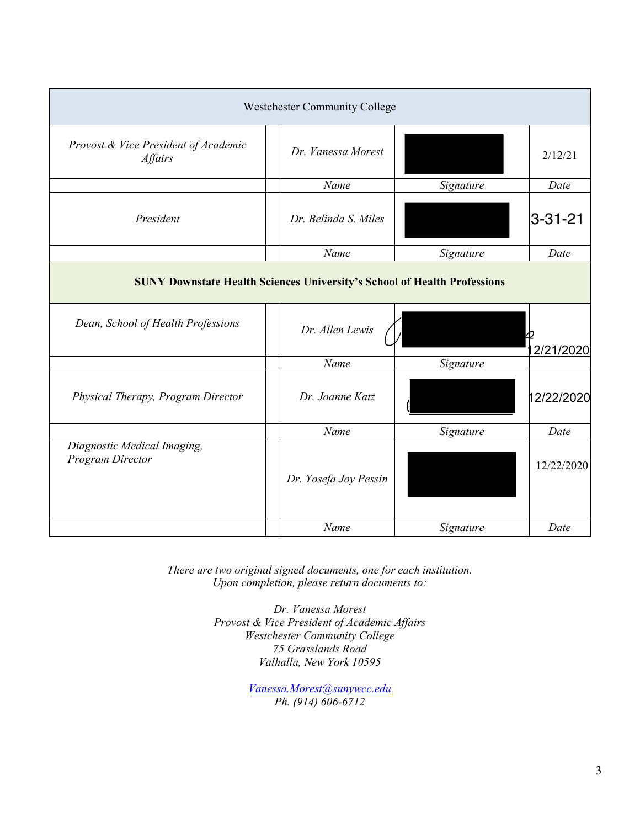| <b>Westchester Community College</b>                                                                                  |  |                       |           |            |  |  |  |
|-----------------------------------------------------------------------------------------------------------------------|--|-----------------------|-----------|------------|--|--|--|
| Provost & Vice President of Academic<br><b>Affairs</b>                                                                |  | Dr. Vanessa Morest    |           | 2/12/21    |  |  |  |
|                                                                                                                       |  | Name                  | Signature | Date       |  |  |  |
| President                                                                                                             |  | Dr. Belinda S. Miles  |           | 3-31-21    |  |  |  |
|                                                                                                                       |  | Name                  | Signature | Date       |  |  |  |
| <b>SUNY Downstate Health Sciences University's School of Health Professions</b><br>Dean, School of Health Professions |  | Dr. Allen Lewis       |           |            |  |  |  |
|                                                                                                                       |  |                       |           | 2/21/2020  |  |  |  |
|                                                                                                                       |  | Name                  | Signature |            |  |  |  |
| Physical Therapy, Program Director                                                                                    |  | Dr. Joanne Katz       |           | 12/22/2020 |  |  |  |
|                                                                                                                       |  | Name                  | Signature | Date       |  |  |  |
| Diagnostic Medical Imaging,<br>Program Director                                                                       |  | Dr. Yosefa Joy Pessin |           | 12/22/2020 |  |  |  |
|                                                                                                                       |  | Name                  | Signature | Date       |  |  |  |

*There are two original signed documents, one for each institution. Upon completion, please return documents to:*

> *Dr. Vanessa Morest Provost & Vice President of Academic Affairs Westchester Community College 75 Grasslands Road Valhalla, New York 10595*

> > *[Vanessa.Morest@sunywcc.edu](about:blank) Ph. (914) 606-6712*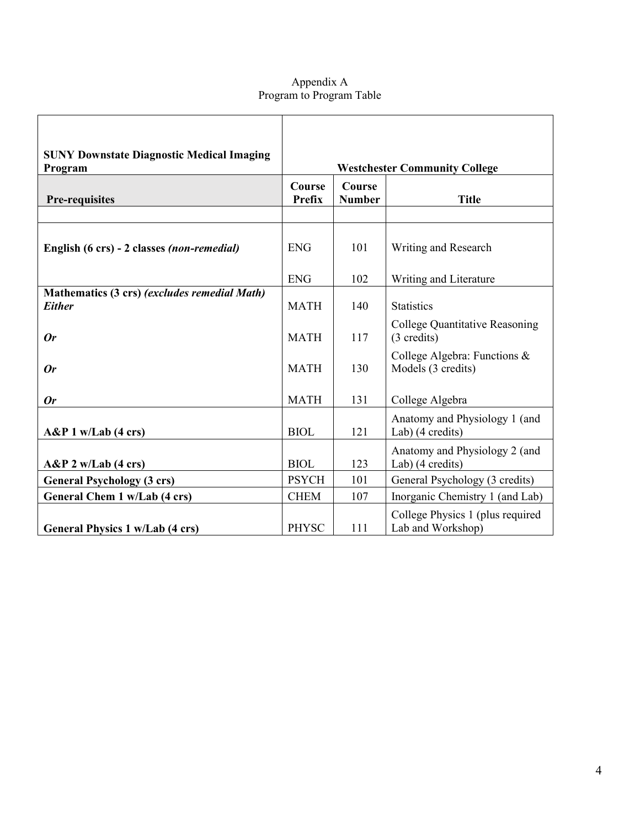#### Appendix A Program to Program Table

| <b>SUNY Downstate Diagnostic Medical Imaging</b><br>Program   | <b>Westchester Community College</b> |                         |                                                       |  |  |
|---------------------------------------------------------------|--------------------------------------|-------------------------|-------------------------------------------------------|--|--|
| <b>Pre-requisites</b>                                         | Course<br><b>Prefix</b>              | Course<br><b>Number</b> | <b>Title</b>                                          |  |  |
|                                                               |                                      |                         |                                                       |  |  |
| English (6 crs) - 2 classes (non-remedial)                    | <b>ENG</b>                           | 101                     | Writing and Research                                  |  |  |
|                                                               | <b>ENG</b>                           | 102                     | Writing and Literature                                |  |  |
| Mathematics (3 crs) (excludes remedial Math)<br><b>Either</b> | <b>MATH</b>                          | 140                     | <b>Statistics</b>                                     |  |  |
| <b>Or</b>                                                     | <b>MATH</b>                          | 117                     | College Quantitative Reasoning<br>(3 credits)         |  |  |
| <b>Or</b>                                                     | <b>MATH</b>                          | 130                     | College Algebra: Functions $\&$<br>Models (3 credits) |  |  |
| 0r                                                            | <b>MATH</b>                          | 131                     | College Algebra                                       |  |  |
| $A\&P1$ w/Lab (4 crs)                                         | <b>BIOL</b>                          | 121                     | Anatomy and Physiology 1 (and<br>Lab) (4 credits)     |  |  |
| $A\&P 2$ w/Lab (4 crs)                                        | <b>BIOL</b>                          | 123                     | Anatomy and Physiology 2 (and<br>Lab) (4 credits)     |  |  |
| <b>General Psychology (3 crs)</b>                             | <b>PSYCH</b>                         | 101                     | General Psychology (3 credits)                        |  |  |
| General Chem 1 w/Lab (4 crs)                                  | <b>CHEM</b>                          | 107                     | Inorganic Chemistry 1 (and Lab)                       |  |  |
| General Physics 1 w/Lab (4 crs)                               | <b>PHYSC</b>                         | 111                     | College Physics 1 (plus required<br>Lab and Workshop) |  |  |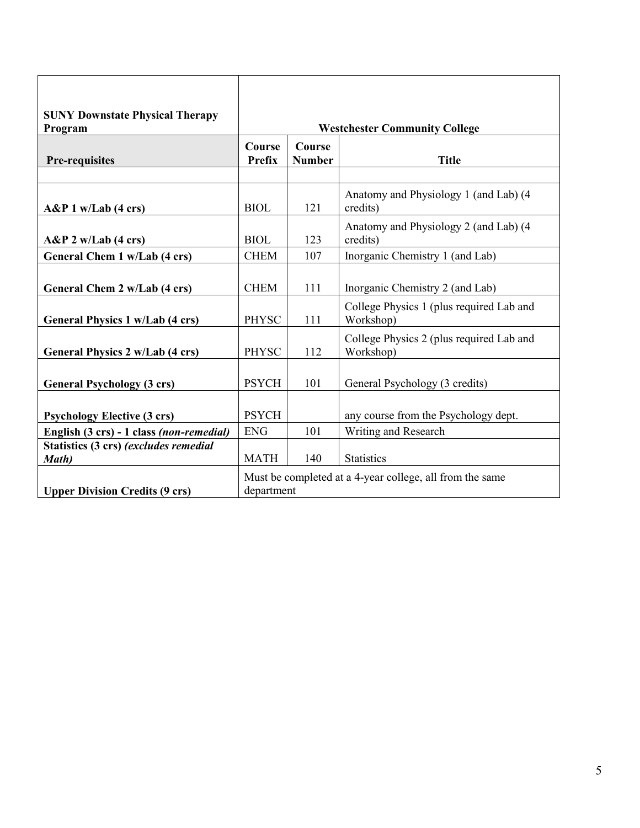| <b>SUNY Downstate Physical Therapy</b>                 |                                                                        |                         |                                                       |  |  |
|--------------------------------------------------------|------------------------------------------------------------------------|-------------------------|-------------------------------------------------------|--|--|
| Program                                                |                                                                        |                         | <b>Westchester Community College</b>                  |  |  |
| <b>Pre-requisites</b>                                  | Course<br>Prefix                                                       | Course<br><b>Number</b> | <b>Title</b>                                          |  |  |
|                                                        |                                                                        |                         |                                                       |  |  |
| $A\&P1$ w/Lab (4 crs)                                  | <b>BIOL</b>                                                            | 121                     | Anatomy and Physiology 1 (and Lab) (4<br>credits)     |  |  |
| $A\&P 2$ w/Lab (4 crs)                                 | <b>BIOL</b>                                                            | 123                     | Anatomy and Physiology 2 (and Lab) (4<br>credits)     |  |  |
| General Chem 1 w/Lab (4 crs)                           | <b>CHEM</b>                                                            | 107                     | Inorganic Chemistry 1 (and Lab)                       |  |  |
| General Chem 2 w/Lab (4 crs)                           | <b>CHEM</b>                                                            | 111                     | Inorganic Chemistry 2 (and Lab)                       |  |  |
| General Physics 1 w/Lab (4 crs)                        | <b>PHYSC</b>                                                           | 111                     | College Physics 1 (plus required Lab and<br>Workshop) |  |  |
| General Physics 2 w/Lab (4 crs)                        | <b>PHYSC</b>                                                           | 112                     | College Physics 2 (plus required Lab and<br>Workshop) |  |  |
| <b>General Psychology (3 crs)</b>                      | <b>PSYCH</b>                                                           | 101                     | General Psychology (3 credits)                        |  |  |
| <b>Psychology Elective (3 crs)</b>                     | <b>PSYCH</b>                                                           |                         | any course from the Psychology dept.                  |  |  |
| English (3 crs) - 1 class (non-remedial)               | <b>ENG</b>                                                             | 101                     | Writing and Research                                  |  |  |
| Statistics (3 crs) (excludes remedial<br><b>Math</b> ) | <b>MATH</b>                                                            | 140                     | <b>Statistics</b>                                     |  |  |
| <b>Upper Division Credits (9 crs)</b>                  | Must be completed at a 4-year college, all from the same<br>department |                         |                                                       |  |  |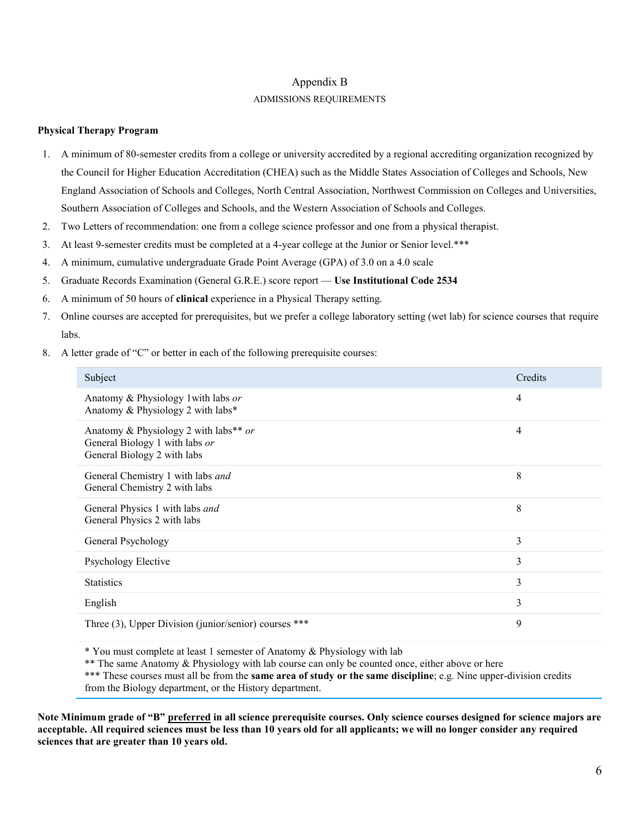#### Appendix B

#### ADMISSIONS REQUIREMENTS

#### **Physical Therapy Program**

- 1. A minimum of 80-semester credits from a college or university accredited by a regional accrediting organization recognized by the Council for Higher Education Accreditation (CHEA) such as the Middle States Association of Colleges and Schools, New England Association of Schools and Colleges, North Central Association, Northwest Commission on Colleges and Universities, Southern Association of Colleges and Schools, and the Western Association of Schools and Colleges.
- 2. Two Letters of recommendation: one from a college science professor and one from a physical therapist.
- 3. At least 9-semester credits must be completed at a 4-year college at the Junior or Senior level.\*\*\*
- 4. A minimum, cumulative undergraduate Grade Point Average (GPA) of 3.0 on a 4.0 scale
- 5. Graduate Records Examination (General G.R.E.) score report **Use Institutional Code 2534**
- 6. A minimum of 50 hours of **clinical** experience in a Physical Therapy setting.
- 7. Online courses are accepted for prerequisites, but we prefer a college laboratory setting (wet lab) for science courses that require labs.
- 8. A letter grade of "C" or better in each of the following prerequisite courses:

| Subject                                                                                                | Credits |
|--------------------------------------------------------------------------------------------------------|---------|
| Anatomy & Physiology 1 with labs or<br>Anatomy & Physiology 2 with labs*                               | 4       |
| Anatomy & Physiology 2 with labs** or<br>General Biology 1 with labs or<br>General Biology 2 with labs | 4       |
| General Chemistry 1 with labs and<br>General Chemistry 2 with labs                                     | 8       |
| General Physics 1 with labs and<br>General Physics 2 with labs                                         | 8       |
| General Psychology                                                                                     | 3       |
| Psychology Elective                                                                                    | 3       |
| <b>Statistics</b>                                                                                      | 3       |
| English                                                                                                | 3       |
| Three $(3)$ , Upper Division (junior/senior) courses ***                                               | 9       |

\* You must complete at least 1 semester of Anatomy & Physiology with lab

\*\* The same Anatomy & Physiology with lab course can only be counted once, either above or here

\*\*\* These courses must all be from the **same area of study or the same discipline**; e.g. Nine upper-division credits from the Biology department, or the History department.

**Note Minimum grade of "B" preferred in all science prerequisite courses. Only science courses designed for science majors are acceptable. All required sciences must be less than 10 years old for all applicants; we will no longer consider any required sciences that are greater than 10 years old.**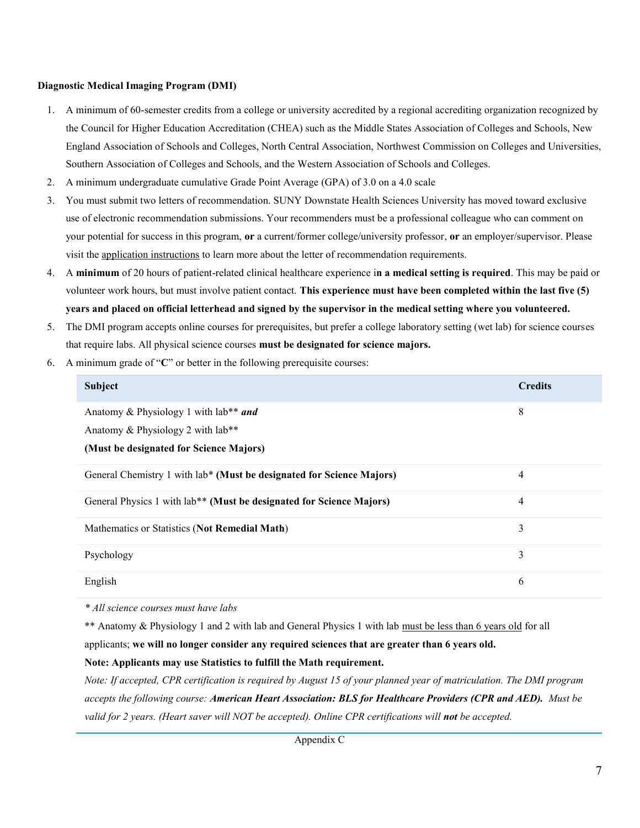#### **Diagnostic Medical Imaging Program (DMI)**

- 1. A minimum of 60-semester credits from a college or university accredited by a regional accrediting organization recognized by the Council for Higher Education Accreditation (CHEA) such as the Middle States Association of Colleges and Schools, New England Association of Schools and Colleges, North Central Association, Northwest Commission on Colleges and Universities, Southern Association of Colleges and Schools, and the Western Association of Schools and Colleges.
- 2. A minimum undergraduate cumulative Grade Point Average (GPA) of 3.0 on a 4.0 scale
- 3. You must submit two letters of recommendation. SUNY Downstate Health Sciences University has moved toward exclusive use of electronic recommendation submissions. Your recommenders must be a professional colleague who can comment on your potential for success in this program, **or** a current/former college/university professor, **or** an employer/supervisor. Please visit the [application instructions](about:blank) to learn more about the letter of recommendation requirements.
- 4. A **minimum** of 20 hours of patient-related clinical healthcare experience i**n a medical setting is required**. This may be paid or volunteer work hours, but must involve patient contact. **This experience must have been completed within the last five (5) years and placed on official letterhead and signed by the supervisor in the medical setting where you volunteered.**
- 5. The DMI program accepts online courses for prerequisites, but prefer a college laboratory setting (wet lab) for science courses that require labs. All physical science courses **must be designated for science majors.**
- 6. A minimum grade of "**C**" or better in the following prerequisite courses:

| Subject                                                               | <b>Credits</b> |
|-----------------------------------------------------------------------|----------------|
| Anatomy & Physiology 1 with lab** and                                 | 8              |
| Anatomy & Physiology 2 with lab**                                     |                |
| (Must be designated for Science Majors)                               |                |
| General Chemistry 1 with lab* (Must be designated for Science Majors) | $\overline{4}$ |
| General Physics 1 with lab** (Must be designated for Science Majors)  | 4              |
| Mathematics or Statistics (Not Remedial Math)                         | 3              |
| Psychology                                                            | 3              |
| English                                                               | 6              |

*\* All science courses must have labs*

\*\* Anatomy & Physiology 1 and 2 with lab and General Physics 1 with lab must be less than 6 years old for all applicants; **we will no longer consider any required sciences that are greater than 6 years old. Note: Applicants may use Statistics to fulfill the Math requirement.**

*Note: If accepted, CPR certification is required by August 15 of your planned year of matriculation. The DMI program accepts the following course: American Heart Association: BLS for Healthcare Providers (CPR and AED). Must be valid for 2 years. (Heart saver will NOT be accepted). Online CPR certifications will not be accepted.*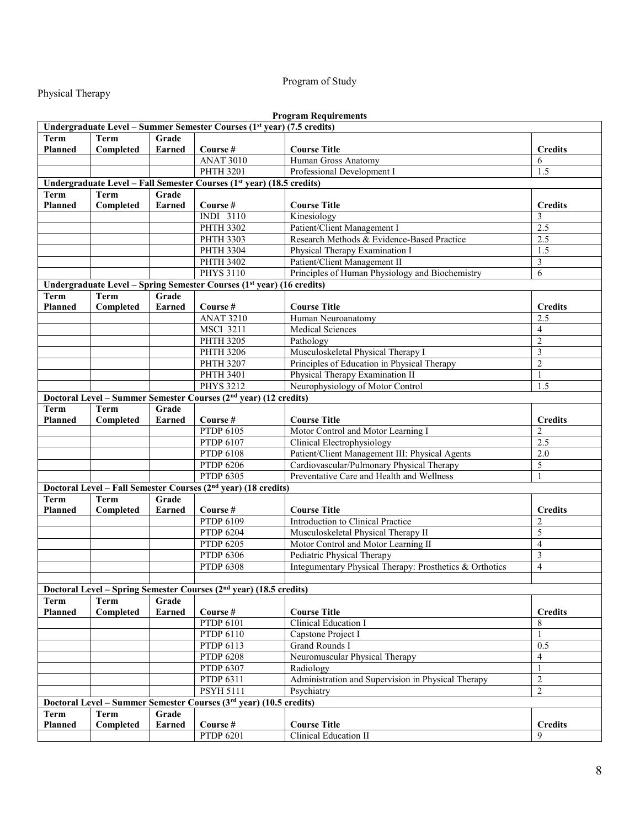# Program of Study

# Physical Therapy

| <b>Program Requirements</b> |             |               |                                                                                        |                                                                 |                |  |  |
|-----------------------------|-------------|---------------|----------------------------------------------------------------------------------------|-----------------------------------------------------------------|----------------|--|--|
|                             |             |               | Undergraduate Level - Summer Semester Courses (1 <sup>st</sup> year) (7.5 credits)     |                                                                 |                |  |  |
| <b>Term</b>                 | <b>Term</b> | Grade         |                                                                                        |                                                                 |                |  |  |
| <b>Planned</b>              | Completed   | <b>Earned</b> | Course #                                                                               | <b>Course Title</b>                                             | <b>Credits</b> |  |  |
|                             |             |               | <b>ANAT 3010</b>                                                                       | Human Gross Anatomy                                             | 6              |  |  |
|                             |             |               | <b>PHTH 3201</b>                                                                       | Professional Development I                                      | 1.5            |  |  |
|                             |             |               | Undergraduate Level - Fall Semester Courses (1st year) (18.5 credits)                  |                                                                 |                |  |  |
| Term                        | <b>Term</b> | Grade         |                                                                                        |                                                                 |                |  |  |
| <b>Planned</b>              | Completed   | <b>Earned</b> | Course #                                                                               | <b>Course Title</b>                                             | <b>Credits</b> |  |  |
|                             |             |               | INDI 3110                                                                              | Kinesiology                                                     | 3              |  |  |
|                             |             |               | <b>PHTH 3302</b>                                                                       | Patient/Client Management I                                     | 2.5            |  |  |
|                             |             |               | <b>PHTH 3303</b>                                                                       | Research Methods & Evidence-Based Practice                      | 2.5            |  |  |
|                             |             |               | <b>PHTH 3304</b>                                                                       | Physical Therapy Examination I                                  | 1.5            |  |  |
|                             |             |               | <b>PHTH 3402</b>                                                                       | Patient/Client Management II                                    | 3              |  |  |
|                             |             |               | <b>PHYS 3110</b>                                                                       | Principles of Human Physiology and Biochemistry                 | 6              |  |  |
|                             |             |               | Undergraduate Level - Spring Semester Courses (1 <sup>st</sup> year) (16 credits)      |                                                                 |                |  |  |
| Term                        | <b>Term</b> | Grade         |                                                                                        |                                                                 |                |  |  |
| <b>Planned</b>              | Completed   | <b>Earned</b> | Course #                                                                               | <b>Course Title</b>                                             | <b>Credits</b> |  |  |
|                             |             |               | <b>ANAT 3210</b>                                                                       | Human Neuroanatomy                                              | 2.5            |  |  |
|                             |             |               | <b>MSCI 3211</b>                                                                       | <b>Medical Sciences</b>                                         | $\overline{4}$ |  |  |
|                             |             |               | <b>PHTH 3205</b>                                                                       | Pathology                                                       | $\overline{2}$ |  |  |
|                             |             |               | <b>PHTH 3206</b>                                                                       | Musculoskeletal Physical Therapy I                              | $\mathfrak{Z}$ |  |  |
|                             |             |               | <b>PHTH 3207</b>                                                                       | Principles of Education in Physical Therapy                     | $\overline{2}$ |  |  |
|                             |             |               | <b>PHTH 3401</b>                                                                       | Physical Therapy Examination II                                 | 1              |  |  |
|                             |             |               | <b>PHYS 3212</b>                                                                       | Neurophysiology of Motor Control                                | 1.5            |  |  |
|                             |             |               | Doctoral Level - Summer Semester Courses (2 <sup>nd</sup> year) (12 credits)           |                                                                 |                |  |  |
| <b>Term</b>                 | <b>Term</b> | Grade         |                                                                                        |                                                                 |                |  |  |
| <b>Planned</b>              | Completed   | Earned        | Course #                                                                               | <b>Course Title</b>                                             | <b>Credits</b> |  |  |
|                             |             |               | <b>PTDP 6105</b>                                                                       | Motor Control and Motor Learning I                              | $\overline{2}$ |  |  |
|                             |             |               | PTDP 6107                                                                              | Clinical Electrophysiology                                      | 2.5            |  |  |
|                             |             |               | PTDP 6108                                                                              | Patient/Client Management III: Physical Agents                  | $2.0$          |  |  |
|                             |             |               | <b>PTDP 6206</b>                                                                       | Cardiovascular/Pulmonary Physical Therapy                       | 5              |  |  |
|                             |             |               | <b>PTDP 6305</b>                                                                       | Preventative Care and Health and Wellness                       | $\mathbf{1}$   |  |  |
|                             |             |               | Doctoral Level - Fall Semester Courses (2nd year) (18 credits)                         |                                                                 |                |  |  |
| <b>Term</b>                 | Term        | Grade         |                                                                                        |                                                                 |                |  |  |
| <b>Planned</b>              | Completed   | <b>Earned</b> | Course #                                                                               | <b>Course Title</b>                                             | <b>Credits</b> |  |  |
|                             |             |               | PTDP 6109                                                                              | Introduction to Clinical Practice                               | $\overline{c}$ |  |  |
|                             |             |               | <b>PTDP 6204</b>                                                                       | Musculoskeletal Physical Therapy II                             | 5              |  |  |
|                             |             |               | <b>PTDP 6205</b>                                                                       | Motor Control and Motor Learning II                             | $\overline{4}$ |  |  |
|                             |             |               | PTDP 6306                                                                              | Pediatric Physical Therapy                                      | 3              |  |  |
|                             |             |               | <b>PTDP 6308</b>                                                                       | Integumentary Physical Therapy: Prosthetics & Orthotics         | $\overline{4}$ |  |  |
|                             |             |               |                                                                                        |                                                                 |                |  |  |
|                             |             |               | Doctoral Level - Spring Semester Courses (2 <sup>nd</sup> year) (18.5 credits)         |                                                                 |                |  |  |
| Term                        | <b>Term</b> | Grade         |                                                                                        |                                                                 |                |  |  |
| <b>Planned</b>              | Completed   | Earned        | Course #                                                                               | <b>Course Title</b>                                             | <b>Credits</b> |  |  |
|                             |             |               | PTDP 6101                                                                              | Clinical Education I                                            | 8              |  |  |
|                             |             |               | PTDP 6110<br><b>PTDP 6113</b>                                                          | Capstone Project I                                              | 1              |  |  |
|                             |             |               |                                                                                        | Grand Rounds I                                                  | 0.5            |  |  |
|                             |             |               | <b>PTDP 6208</b>                                                                       | Neuromuscular Physical Therapy                                  | $\overline{4}$ |  |  |
|                             |             |               | PTDP 6307<br><b>PTDP 6311</b>                                                          | Radiology<br>Administration and Supervision in Physical Therapy | $\mathbf{1}$   |  |  |
|                             |             |               |                                                                                        |                                                                 | $\overline{2}$ |  |  |
|                             |             |               | <b>PSYH 5111</b><br>Doctoral Level – Summer Semester Courses (3rd year) (10.5 credits) | Psychiatry                                                      | $\overline{2}$ |  |  |
| Term                        | <b>Term</b> | Grade         |                                                                                        |                                                                 |                |  |  |
| Planned                     | Completed   | <b>Earned</b> | Course #                                                                               | <b>Course Title</b>                                             | <b>Credits</b> |  |  |
|                             |             |               | PTDP 6201                                                                              | Clinical Education II                                           | 9              |  |  |
|                             |             |               |                                                                                        |                                                                 |                |  |  |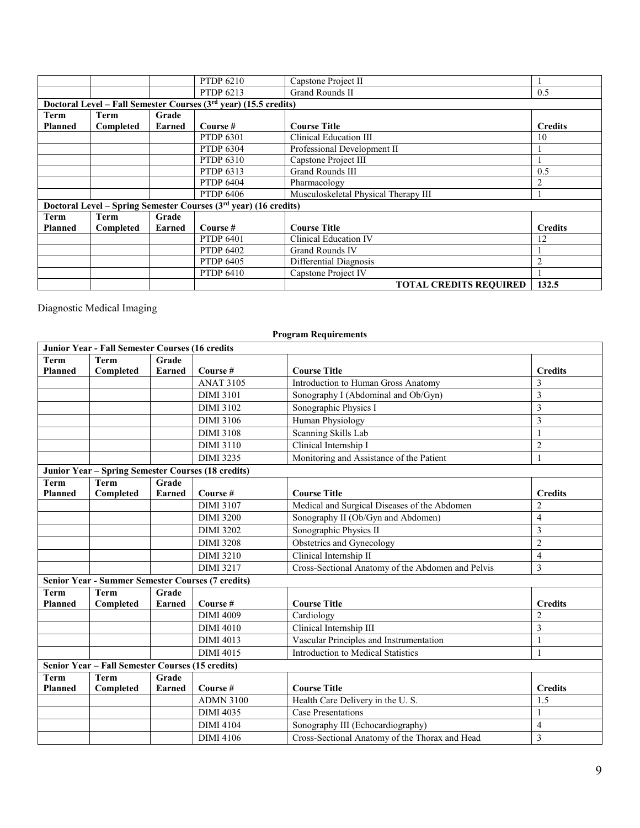|                |           |               | <b>PTDP 6210</b>                                                   | Capstone Project II                  |                |
|----------------|-----------|---------------|--------------------------------------------------------------------|--------------------------------------|----------------|
|                |           |               | PTDP 6213                                                          | Grand Rounds II                      | 0.5            |
|                |           |               | Doctoral Level - Fall Semester Courses (3rd year) (15.5 credits)   |                                      |                |
| Term           | Term      | Grade         |                                                                    |                                      |                |
| <b>Planned</b> | Completed | Earned        | Course $#$                                                         | <b>Course Title</b>                  | <b>Credits</b> |
|                |           |               | PTDP 6301                                                          | Clinical Education III               | 10             |
|                |           |               | <b>PTDP 6304</b>                                                   | Professional Development II          |                |
|                |           |               | <b>PTDP 6310</b>                                                   | Capstone Project III                 |                |
|                |           |               | PTDP 6313                                                          | <b>Grand Rounds III</b>              | 0.5            |
|                |           |               | <b>PTDP 6404</b>                                                   | Pharmacology                         | 2              |
|                |           |               | <b>PTDP 6406</b>                                                   | Musculoskeletal Physical Therapy III |                |
|                |           |               | Doctoral Level – Spring Semester Courses $(3rd$ year) (16 credits) |                                      |                |
| Term           | Term      | Grade         |                                                                    |                                      |                |
| <b>Planned</b> | Completed | <b>Earned</b> | Course $#$                                                         | <b>Course Title</b>                  | <b>Credits</b> |
|                |           |               | <b>PTDP 6401</b>                                                   | Clinical Education IV                | 12             |
|                |           |               | <b>PTDP 6402</b>                                                   | <b>Grand Rounds IV</b>               |                |
|                |           |               | <b>PTDP 6405</b>                                                   | Differential Diagnosis               | $\overline{c}$ |
|                |           |               | <b>PTDP 6410</b>                                                   | Capstone Project IV                  |                |
|                |           |               |                                                                    | <b>TOTAL CREDITS REOUIRED</b>        | 132.5          |

Diagnostic Medical Imaging

|                | <b>Junior Year - Fall Semester Courses (16 credits</b> |               |                  |                                                   |                |
|----------------|--------------------------------------------------------|---------------|------------------|---------------------------------------------------|----------------|
| <b>Term</b>    | <b>Term</b>                                            | Grade         |                  |                                                   |                |
| <b>Planned</b> | Completed                                              | <b>Earned</b> | Course#          | <b>Course Title</b>                               | <b>Credits</b> |
|                |                                                        |               | <b>ANAT 3105</b> | Introduction to Human Gross Anatomy               | 3              |
|                |                                                        |               | <b>DIMI 3101</b> | Sonography I (Abdominal and Ob/Gyn)               | $\overline{3}$ |
|                |                                                        |               | <b>DIMI 3102</b> | Sonographic Physics I                             | 3              |
|                |                                                        |               | <b>DIMI 3106</b> | Human Physiology                                  | $\overline{3}$ |
|                |                                                        |               | <b>DIMI 3108</b> | Scanning Skills Lab                               | -1             |
|                |                                                        |               | <b>DIMI 3110</b> | Clinical Internship I                             | $\overline{2}$ |
|                |                                                        |               | <b>DIMI 3235</b> | Monitoring and Assistance of the Patient          | $\mathbf{1}$   |
|                | Junior Year - Spring Semester Courses (18 credits)     |               |                  |                                                   |                |
| <b>Term</b>    | <b>Term</b>                                            | Grade         |                  |                                                   |                |
| <b>Planned</b> | Completed                                              | Earned        | Course#          | <b>Course Title</b>                               | <b>Credits</b> |
|                |                                                        |               | <b>DIMI 3107</b> | Medical and Surgical Diseases of the Abdomen      | $\overline{2}$ |
|                |                                                        |               | <b>DIMI 3200</b> | Sonography II (Ob/Gyn and Abdomen)                | $\overline{4}$ |
|                |                                                        |               | <b>DIMI 3202</b> | Sonographic Physics II                            | 3              |
|                |                                                        |               | <b>DIMI 3208</b> | Obstetrics and Gynecology                         | $\overline{2}$ |
|                |                                                        |               | <b>DIMI 3210</b> | Clinical Internship II                            | $\overline{4}$ |
|                |                                                        |               | <b>DIMI 3217</b> | Cross-Sectional Anatomy of the Abdomen and Pelvis | 3              |
|                | Senior Year - Summer Semester Courses (7 credits)      |               |                  |                                                   |                |
| <b>Term</b>    | Term                                                   | Grade         |                  |                                                   |                |
| <b>Planned</b> | Completed                                              | Earned        | Course#          | <b>Course Title</b>                               | <b>Credits</b> |
|                |                                                        |               | <b>DIMI 4009</b> | Cardiology                                        | $\overline{2}$ |
|                |                                                        |               | <b>DIMI 4010</b> | Clinical Internship III                           | 3              |
|                |                                                        |               | <b>DIMI 4013</b> | Vascular Principles and Instrumentation           | $\mathbf{1}$   |
|                |                                                        |               | <b>DIMI 4015</b> | <b>Introduction to Medical Statistics</b>         | $\mathbf{1}$   |
|                | Senior Year - Fall Semester Courses (15 credits)       |               |                  |                                                   |                |
| Term           | <b>Term</b>                                            | Grade         |                  |                                                   |                |
| <b>Planned</b> | Completed                                              | <b>Earned</b> | Course #         | <b>Course Title</b>                               | <b>Credits</b> |
|                |                                                        |               | <b>ADMN 3100</b> | Health Care Delivery in the U.S.                  | 1.5            |
|                |                                                        |               | <b>DIMI 4035</b> | <b>Case Presentations</b>                         |                |
|                |                                                        |               | <b>DIMI 4104</b> | Sonography III (Echocardiography)                 | $\overline{4}$ |
|                |                                                        |               | <b>DIMI 4106</b> | Cross-Sectional Anatomy of the Thorax and Head    | 3              |

#### **Program Requirements**